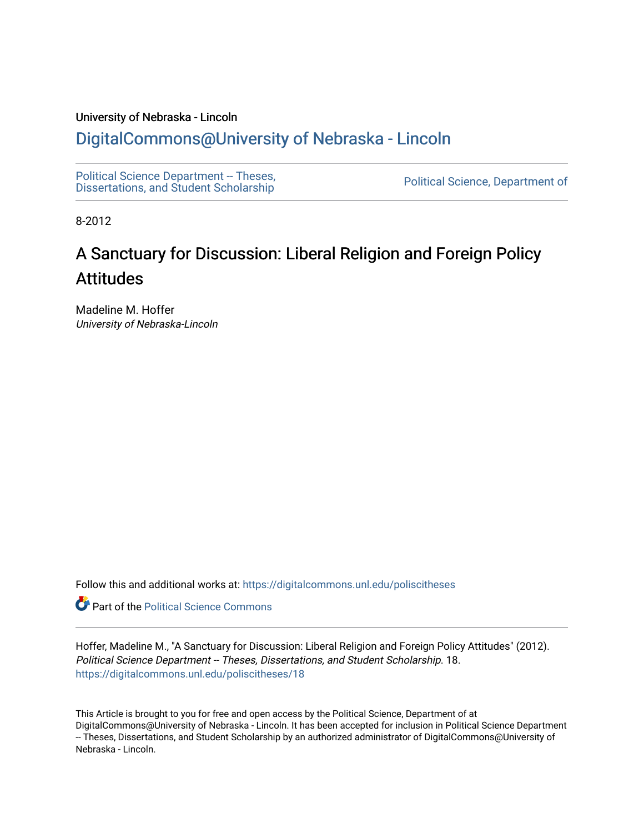#### University of Nebraska - Lincoln

### [DigitalCommons@University of Nebraska - Lincoln](https://digitalcommons.unl.edu/)

[Political Science Department -- Theses,](https://digitalcommons.unl.edu/poliscitheses) Political Science Department - Theses,<br>[Dissertations, and Student Scholarship](https://digitalcommons.unl.edu/poliscitheses) Political Science, Department of

8-2012

# A Sanctuary for Discussion: Liberal Religion and Foreign Policy Attitudes

Madeline M. Hoffer University of Nebraska-Lincoln

Follow this and additional works at: [https://digitalcommons.unl.edu/poliscitheses](https://digitalcommons.unl.edu/poliscitheses?utm_source=digitalcommons.unl.edu%2Fpoliscitheses%2F18&utm_medium=PDF&utm_campaign=PDFCoverPages)

**Part of the Political Science Commons** 

Hoffer, Madeline M., "A Sanctuary for Discussion: Liberal Religion and Foreign Policy Attitudes" (2012). Political Science Department -- Theses, Dissertations, and Student Scholarship. 18. [https://digitalcommons.unl.edu/poliscitheses/18](https://digitalcommons.unl.edu/poliscitheses/18?utm_source=digitalcommons.unl.edu%2Fpoliscitheses%2F18&utm_medium=PDF&utm_campaign=PDFCoverPages) 

This Article is brought to you for free and open access by the Political Science, Department of at DigitalCommons@University of Nebraska - Lincoln. It has been accepted for inclusion in Political Science Department -- Theses, Dissertations, and Student Scholarship by an authorized administrator of DigitalCommons@University of Nebraska - Lincoln.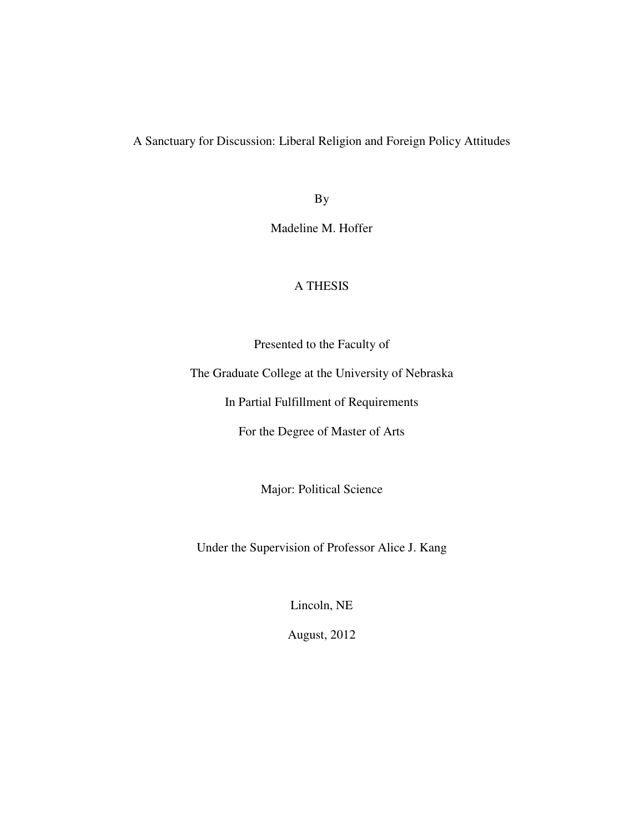A Sanctuary for Discussion: Liberal Religion and Foreign Policy Attitudes

By

Madeline M. Hoffer

### A THESIS

Presented to the Faculty of

The Graduate College at the University of Nebraska

In Partial Fulfillment of Requirements

For the Degree of Master of Arts

Major: Political Science

Under the Supervision of Professor Alice J. Kang

Lincoln, NE

August, 2012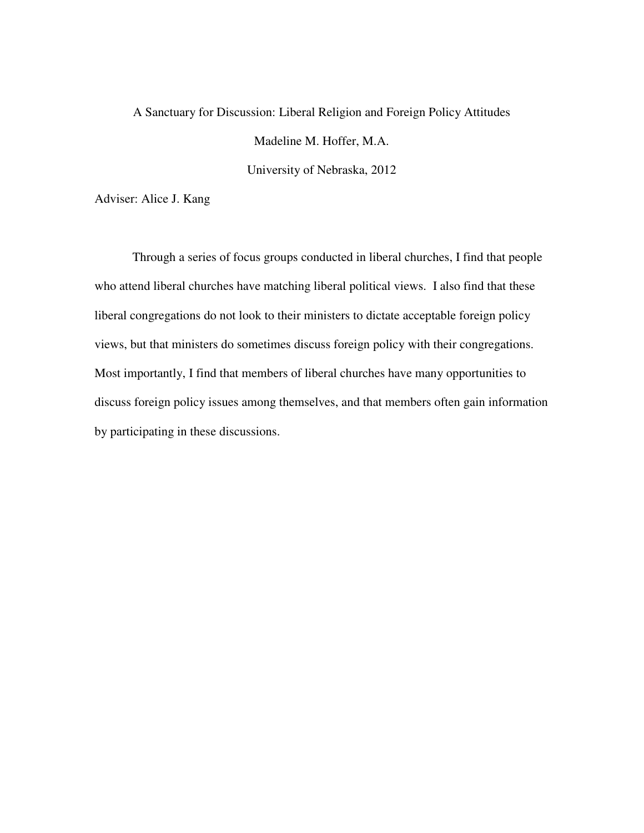## A Sanctuary for Discussion: Liberal Religion and Foreign Policy Attitudes Madeline M. Hoffer, M.A.

University of Nebraska, 2012

Adviser: Alice J. Kang

 Through a series of focus groups conducted in liberal churches, I find that people who attend liberal churches have matching liberal political views. I also find that these liberal congregations do not look to their ministers to dictate acceptable foreign policy views, but that ministers do sometimes discuss foreign policy with their congregations. Most importantly, I find that members of liberal churches have many opportunities to discuss foreign policy issues among themselves, and that members often gain information by participating in these discussions.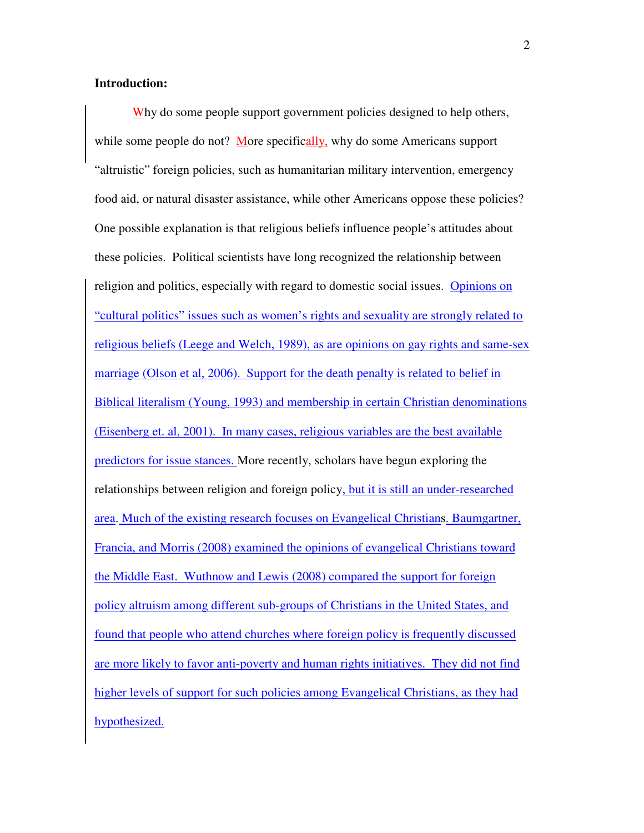#### **Introduction:**

Why do some people support government policies designed to help others, while some people do not? More specifically, why do some Americans support "altruistic" foreign policies, such as humanitarian military intervention, emergency food aid, or natural disaster assistance, while other Americans oppose these policies? One possible explanation is that religious beliefs influence people's attitudes about these policies. Political scientists have long recognized the relationship between religion and politics, especially with regard to domestic social issues. Opinions on "cultural politics" issues such as women's rights and sexuality are strongly related to religious beliefs (Leege and Welch, 1989), as are opinions on gay rights and same-sex marriage (Olson et al, 2006). Support for the death penalty is related to belief in Biblical literalism (Young, 1993) and membership in certain Christian denominations (Eisenberg et. al, 2001). In many cases, religious variables are the best available predictors for issue stances. More recently, scholars have begun exploring the relationships between religion and foreign policy, but it is still an under-researched area. Much of the existing research focuses on Evangelical Christians. Baumgartner, Francia, and Morris (2008) examined the opinions of evangelical Christians toward the Middle East. Wuthnow and Lewis (2008) compared the support for foreign policy altruism among different sub-groups of Christians in the United States, and found that people who attend churches where foreign policy is frequently discussed are more likely to favor anti-poverty and human rights initiatives. They did not find higher levels of support for such policies among Evangelical Christians, as they had hypothesized.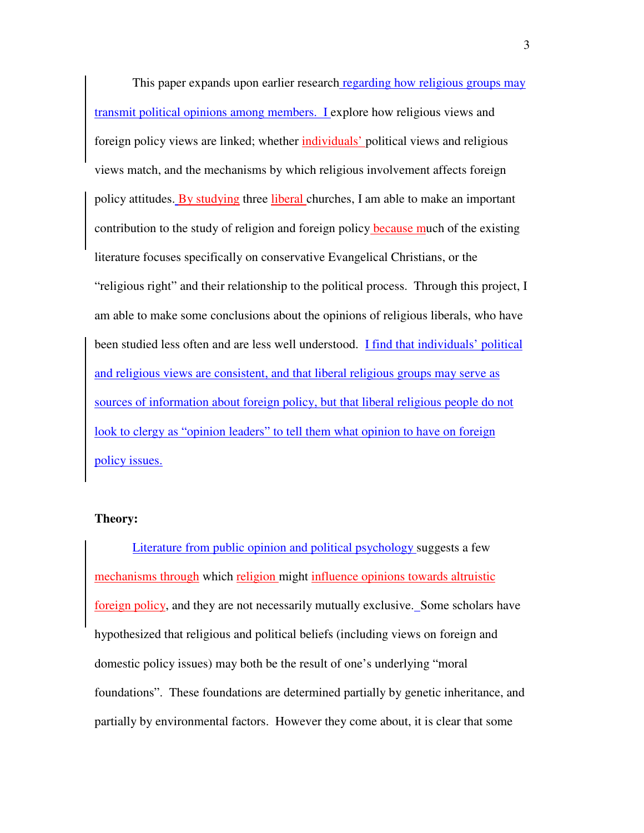This paper expands upon earlier research regarding how religious groups may transmit political opinions among members. I explore how religious views and foreign policy views are linked; whether individuals' political views and religious views match, and the mechanisms by which religious involvement affects foreign policy attitudes. By studying three liberal churches, I am able to make an important contribution to the study of religion and foreign policy because much of the existing literature focuses specifically on conservative Evangelical Christians, or the "religious right" and their relationship to the political process. Through this project, I am able to make some conclusions about the opinions of religious liberals, who have been studied less often and are less well understood. I find that individuals' political and religious views are consistent, and that liberal religious groups may serve as sources of information about foreign policy, but that liberal religious people do not look to clergy as "opinion leaders" to tell them what opinion to have on foreign policy issues.

#### **Theory:**

Literature from public opinion and political psychology suggests a few mechanisms through which religion might influence opinions towards altruistic foreign policy, and they are not necessarily mutually exclusive. Some scholars have hypothesized that religious and political beliefs (including views on foreign and domestic policy issues) may both be the result of one's underlying "moral foundations". These foundations are determined partially by genetic inheritance, and partially by environmental factors. However they come about, it is clear that some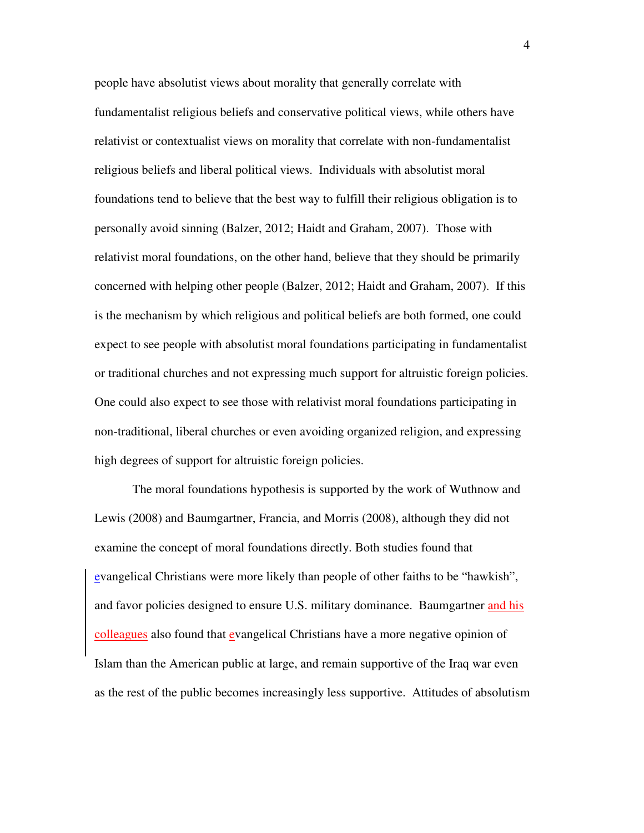people have absolutist views about morality that generally correlate with fundamentalist religious beliefs and conservative political views, while others have relativist or contextualist views on morality that correlate with non-fundamentalist religious beliefs and liberal political views. Individuals with absolutist moral foundations tend to believe that the best way to fulfill their religious obligation is to personally avoid sinning (Balzer, 2012; Haidt and Graham, 2007). Those with relativist moral foundations, on the other hand, believe that they should be primarily concerned with helping other people (Balzer, 2012; Haidt and Graham, 2007). If this is the mechanism by which religious and political beliefs are both formed, one could expect to see people with absolutist moral foundations participating in fundamentalist or traditional churches and not expressing much support for altruistic foreign policies. One could also expect to see those with relativist moral foundations participating in non-traditional, liberal churches or even avoiding organized religion, and expressing high degrees of support for altruistic foreign policies.

 The moral foundations hypothesis is supported by the work of Wuthnow and Lewis (2008) and Baumgartner, Francia, and Morris (2008), although they did not examine the concept of moral foundations directly. Both studies found that evangelical Christians were more likely than people of other faiths to be "hawkish", and favor policies designed to ensure U.S. military dominance. Baumgartner and his colleagues also found that evangelical Christians have a more negative opinion of Islam than the American public at large, and remain supportive of the Iraq war even as the rest of the public becomes increasingly less supportive. Attitudes of absolutism

4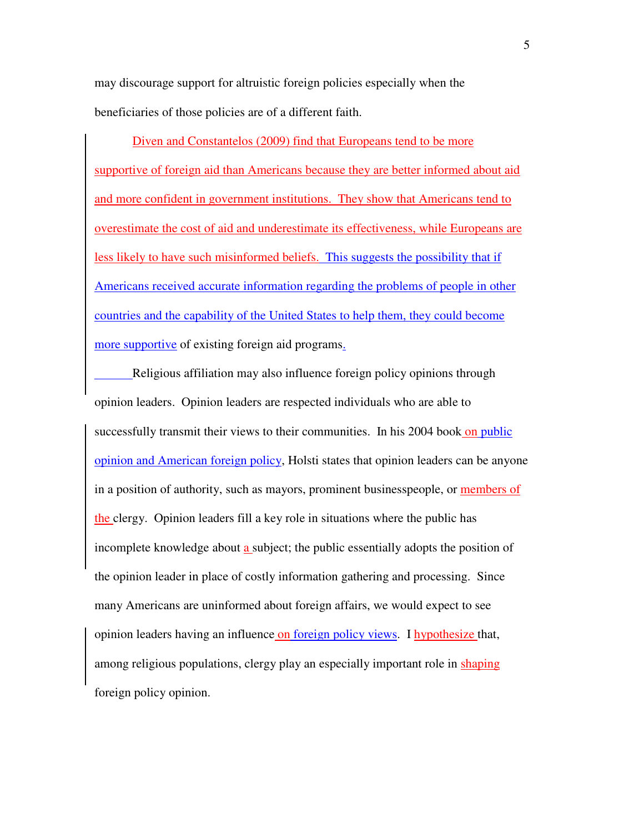may discourage support for altruistic foreign policies especially when the beneficiaries of those policies are of a different faith.

Diven and Constantelos (2009) find that Europeans tend to be more supportive of foreign aid than Americans because they are better informed about aid and more confident in government institutions. They show that Americans tend to overestimate the cost of aid and underestimate its effectiveness, while Europeans are less likely to have such misinformed beliefs. This suggests the possibility that if Americans received accurate information regarding the problems of people in other countries and the capability of the United States to help them, they could become more supportive of existing foreign aid programs.

Religious affiliation may also influence foreign policy opinions through opinion leaders. Opinion leaders are respected individuals who are able to successfully transmit their views to their communities. In his 2004 book on public opinion and American foreign policy, Holsti states that opinion leaders can be anyone in a position of authority, such as mayors, prominent businesspeople, or members of the clergy. Opinion leaders fill a key role in situations where the public has incomplete knowledge about a subject; the public essentially adopts the position of the opinion leader in place of costly information gathering and processing. Since many Americans are uninformed about foreign affairs, we would expect to see opinion leaders having an influence on foreign policy views. I hypothesize that, among religious populations, clergy play an especially important role in shaping foreign policy opinion.

5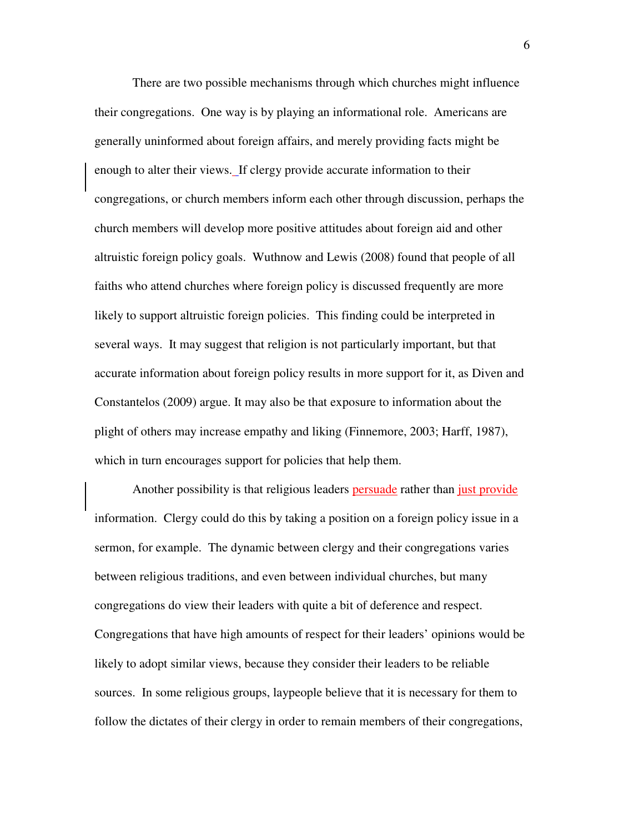There are two possible mechanisms through which churches might influence their congregations. One way is by playing an informational role. Americans are generally uninformed about foreign affairs, and merely providing facts might be enough to alter their views. If clergy provide accurate information to their congregations, or church members inform each other through discussion, perhaps the church members will develop more positive attitudes about foreign aid and other altruistic foreign policy goals. Wuthnow and Lewis (2008) found that people of all faiths who attend churches where foreign policy is discussed frequently are more likely to support altruistic foreign policies. This finding could be interpreted in several ways. It may suggest that religion is not particularly important, but that accurate information about foreign policy results in more support for it, as Diven and Constantelos (2009) argue. It may also be that exposure to information about the plight of others may increase empathy and liking (Finnemore, 2003; Harff, 1987), which in turn encourages support for policies that help them.

Another possibility is that religious leaders persuade rather than just provide information. Clergy could do this by taking a position on a foreign policy issue in a sermon, for example. The dynamic between clergy and their congregations varies between religious traditions, and even between individual churches, but many congregations do view their leaders with quite a bit of deference and respect. Congregations that have high amounts of respect for their leaders' opinions would be likely to adopt similar views, because they consider their leaders to be reliable sources. In some religious groups, laypeople believe that it is necessary for them to follow the dictates of their clergy in order to remain members of their congregations,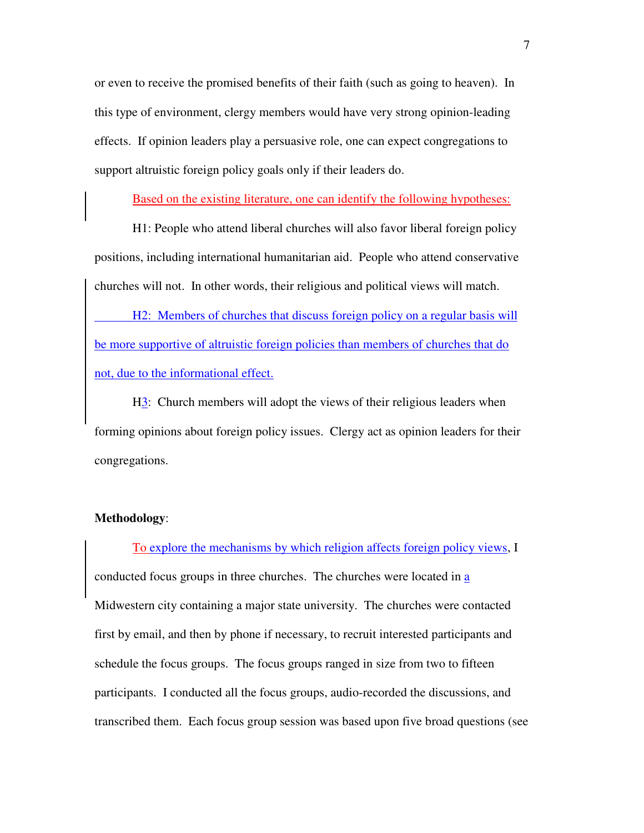or even to receive the promised benefits of their faith (such as going to heaven). In this type of environment, clergy members would have very strong opinion-leading effects. If opinion leaders play a persuasive role, one can expect congregations to support altruistic foreign policy goals only if their leaders do.

Based on the existing literature, one can identify the following hypotheses:

 H1: People who attend liberal churches will also favor liberal foreign policy positions, including international humanitarian aid. People who attend conservative churches will not. In other words, their religious and political views will match.

 H2: Members of churches that discuss foreign policy on a regular basis will be more supportive of altruistic foreign policies than members of churches that do not, due to the informational effect.

 H3: Church members will adopt the views of their religious leaders when forming opinions about foreign policy issues. Clergy act as opinion leaders for their congregations.

#### **Methodology**:

To explore the mechanisms by which religion affects foreign policy views, I conducted focus groups in three churches. The churches were located in a Midwestern city containing a major state university. The churches were contacted first by email, and then by phone if necessary, to recruit interested participants and schedule the focus groups. The focus groups ranged in size from two to fifteen participants. I conducted all the focus groups, audio-recorded the discussions, and transcribed them. Each focus group session was based upon five broad questions (see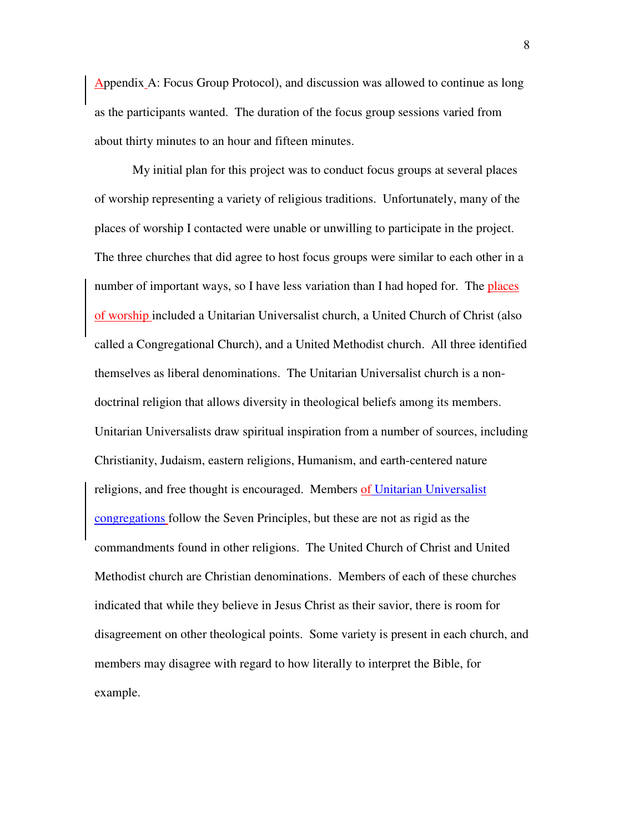Appendix A: Focus Group Protocol), and discussion was allowed to continue as long as the participants wanted. The duration of the focus group sessions varied from about thirty minutes to an hour and fifteen minutes.

My initial plan for this project was to conduct focus groups at several places of worship representing a variety of religious traditions. Unfortunately, many of the places of worship I contacted were unable or unwilling to participate in the project. The three churches that did agree to host focus groups were similar to each other in a number of important ways, so I have less variation than I had hoped for. The places of worship included a Unitarian Universalist church, a United Church of Christ (also called a Congregational Church), and a United Methodist church. All three identified themselves as liberal denominations. The Unitarian Universalist church is a nondoctrinal religion that allows diversity in theological beliefs among its members. Unitarian Universalists draw spiritual inspiration from a number of sources, including Christianity, Judaism, eastern religions, Humanism, and earth-centered nature religions, and free thought is encouraged. Members of Unitarian Universalist congregations follow the Seven Principles, but these are not as rigid as the commandments found in other religions. The United Church of Christ and United Methodist church are Christian denominations. Members of each of these churches indicated that while they believe in Jesus Christ as their savior, there is room for disagreement on other theological points. Some variety is present in each church, and members may disagree with regard to how literally to interpret the Bible, for example.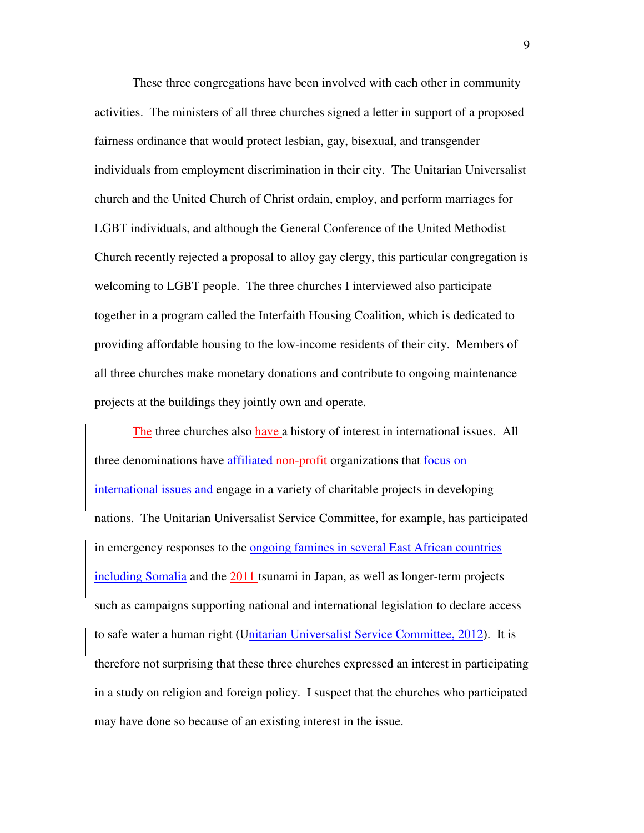These three congregations have been involved with each other in community activities. The ministers of all three churches signed a letter in support of a proposed fairness ordinance that would protect lesbian, gay, bisexual, and transgender individuals from employment discrimination in their city. The Unitarian Universalist church and the United Church of Christ ordain, employ, and perform marriages for LGBT individuals, and although the General Conference of the United Methodist Church recently rejected a proposal to alloy gay clergy, this particular congregation is welcoming to LGBT people. The three churches I interviewed also participate together in a program called the Interfaith Housing Coalition, which is dedicated to providing affordable housing to the low-income residents of their city. Members of all three churches make monetary donations and contribute to ongoing maintenance projects at the buildings they jointly own and operate.

The three churches also have a history of interest in international issues. All three denominations have affiliated non-profit organizations that focus on international issues and engage in a variety of charitable projects in developing nations. The Unitarian Universalist Service Committee, for example, has participated in emergency responses to the ongoing famines in several East African countries including Somalia and the 2011 tsunami in Japan, as well as longer-term projects such as campaigns supporting national and international legislation to declare access to safe water a human right (Unitarian Universalist Service Committee, 2012). It is therefore not surprising that these three churches expressed an interest in participating in a study on religion and foreign policy. I suspect that the churches who participated may have done so because of an existing interest in the issue.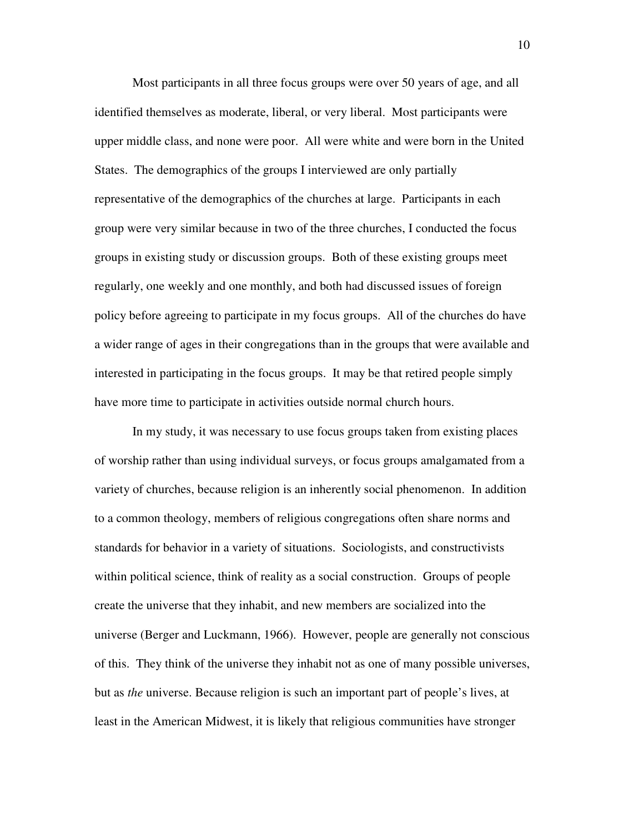Most participants in all three focus groups were over 50 years of age, and all identified themselves as moderate, liberal, or very liberal. Most participants were upper middle class, and none were poor. All were white and were born in the United States. The demographics of the groups I interviewed are only partially representative of the demographics of the churches at large. Participants in each group were very similar because in two of the three churches, I conducted the focus groups in existing study or discussion groups. Both of these existing groups meet regularly, one weekly and one monthly, and both had discussed issues of foreign policy before agreeing to participate in my focus groups. All of the churches do have a wider range of ages in their congregations than in the groups that were available and interested in participating in the focus groups. It may be that retired people simply have more time to participate in activities outside normal church hours.

In my study, it was necessary to use focus groups taken from existing places of worship rather than using individual surveys, or focus groups amalgamated from a variety of churches, because religion is an inherently social phenomenon. In addition to a common theology, members of religious congregations often share norms and standards for behavior in a variety of situations. Sociologists, and constructivists within political science, think of reality as a social construction. Groups of people create the universe that they inhabit, and new members are socialized into the universe (Berger and Luckmann, 1966). However, people are generally not conscious of this. They think of the universe they inhabit not as one of many possible universes, but as *the* universe. Because religion is such an important part of people's lives, at least in the American Midwest, it is likely that religious communities have stronger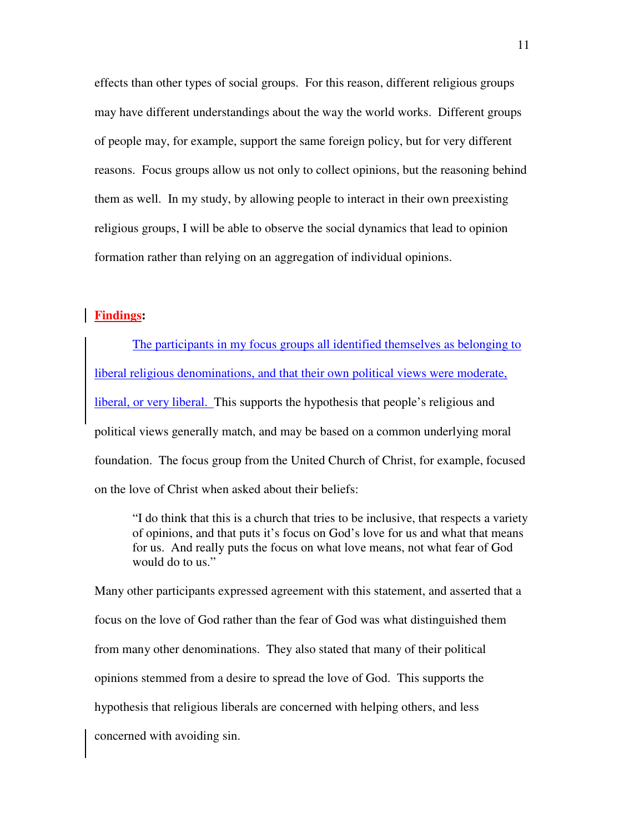effects than other types of social groups. For this reason, different religious groups may have different understandings about the way the world works. Different groups of people may, for example, support the same foreign policy, but for very different reasons. Focus groups allow us not only to collect opinions, but the reasoning behind them as well. In my study, by allowing people to interact in their own preexisting religious groups, I will be able to observe the social dynamics that lead to opinion formation rather than relying on an aggregation of individual opinions.

#### **Findings:**

The participants in my focus groups all identified themselves as belonging to liberal religious denominations, and that their own political views were moderate, liberal, or very liberal. This supports the hypothesis that people's religious and political views generally match, and may be based on a common underlying moral foundation. The focus group from the United Church of Christ, for example, focused on the love of Christ when asked about their beliefs:

 "I do think that this is a church that tries to be inclusive, that respects a variety of opinions, and that puts it's focus on God's love for us and what that means for us. And really puts the focus on what love means, not what fear of God would do to us."

Many other participants expressed agreement with this statement, and asserted that a focus on the love of God rather than the fear of God was what distinguished them from many other denominations. They also stated that many of their political opinions stemmed from a desire to spread the love of God. This supports the hypothesis that religious liberals are concerned with helping others, and less concerned with avoiding sin.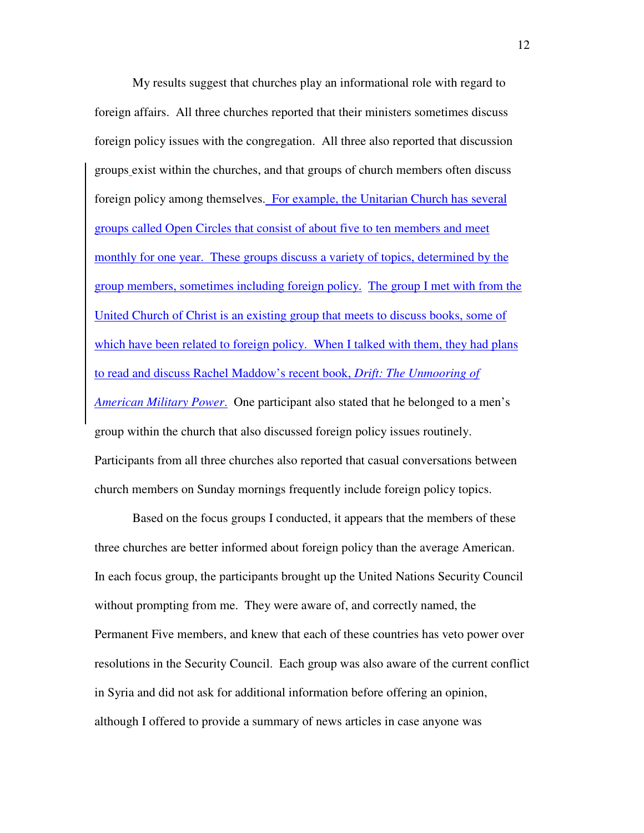My results suggest that churches play an informational role with regard to foreign affairs. All three churches reported that their ministers sometimes discuss foreign policy issues with the congregation. All three also reported that discussion groups exist within the churches, and that groups of church members often discuss foreign policy among themselves. For example, the Unitarian Church has several groups called Open Circles that consist of about five to ten members and meet monthly for one year. These groups discuss a variety of topics, determined by the group members, sometimes including foreign policy. The group I met with from the United Church of Christ is an existing group that meets to discuss books, some of which have been related to foreign policy. When I talked with them, they had plans to read and discuss Rachel Maddow's recent book, *Drift: The Unmooring of American Military Power*. One participant also stated that he belonged to a men's group within the church that also discussed foreign policy issues routinely. Participants from all three churches also reported that casual conversations between church members on Sunday mornings frequently include foreign policy topics.

 Based on the focus groups I conducted, it appears that the members of these three churches are better informed about foreign policy than the average American. In each focus group, the participants brought up the United Nations Security Council without prompting from me. They were aware of, and correctly named, the Permanent Five members, and knew that each of these countries has veto power over resolutions in the Security Council. Each group was also aware of the current conflict in Syria and did not ask for additional information before offering an opinion, although I offered to provide a summary of news articles in case anyone was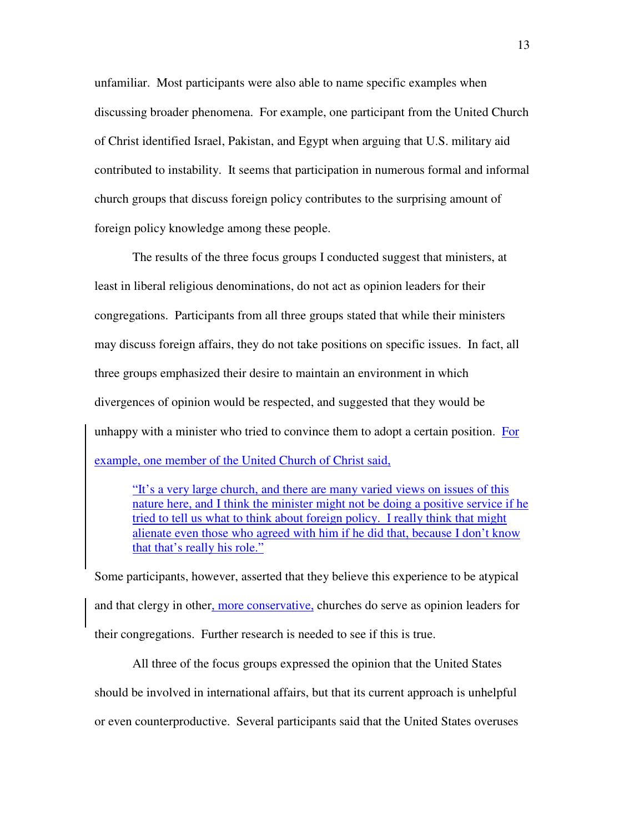unfamiliar. Most participants were also able to name specific examples when discussing broader phenomena. For example, one participant from the United Church of Christ identified Israel, Pakistan, and Egypt when arguing that U.S. military aid contributed to instability. It seems that participation in numerous formal and informal church groups that discuss foreign policy contributes to the surprising amount of foreign policy knowledge among these people.

The results of the three focus groups I conducted suggest that ministers, at least in liberal religious denominations, do not act as opinion leaders for their congregations. Participants from all three groups stated that while their ministers may discuss foreign affairs, they do not take positions on specific issues. In fact, all three groups emphasized their desire to maintain an environment in which divergences of opinion would be respected, and suggested that they would be unhappy with a minister who tried to convince them to adopt a certain position. For example, one member of the United Church of Christ said,

"It's a very large church, and there are many varied views on issues of this nature here, and I think the minister might not be doing a positive service if he tried to tell us what to think about foreign policy. I really think that might alienate even those who agreed with him if he did that, because I don't know that that's really his role."

Some participants, however, asserted that they believe this experience to be atypical and that clergy in other, more conservative, churches do serve as opinion leaders for their congregations. Further research is needed to see if this is true.

 All three of the focus groups expressed the opinion that the United States should be involved in international affairs, but that its current approach is unhelpful or even counterproductive. Several participants said that the United States overuses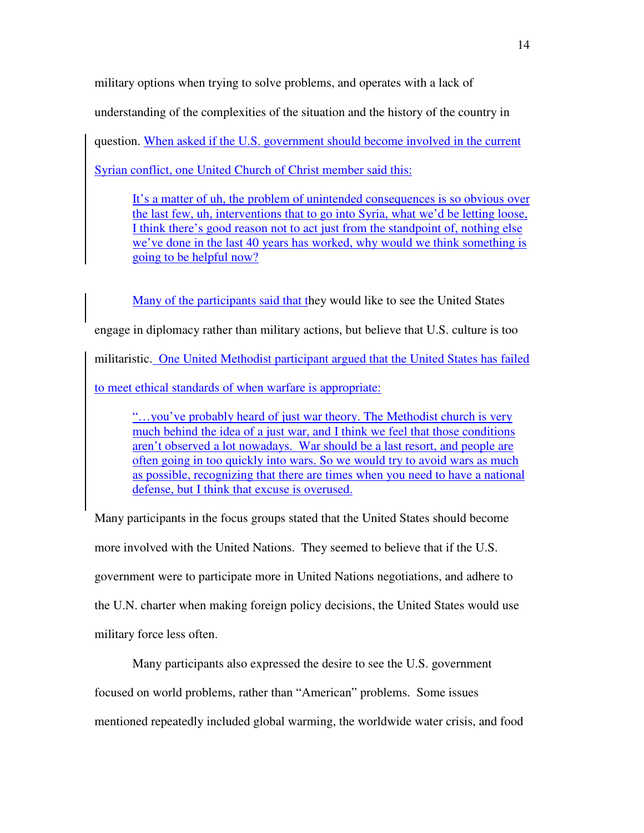military options when trying to solve problems, and operates with a lack of understanding of the complexities of the situation and the history of the country in

question. When asked if the U.S. government should become involved in the current

Syrian conflict, one United Church of Christ member said this:

It's a matter of uh, the problem of unintended consequences is so obvious over the last few, uh, interventions that to go into Syria, what we'd be letting loose, I think there's good reason not to act just from the standpoint of, nothing else we've done in the last 40 years has worked, why would we think something is going to be helpful now?

Many of the participants said that they would like to see the United States engage in diplomacy rather than military actions, but believe that U.S. culture is too militaristic. One United Methodist participant argued that the United States has failed to meet ethical standards of when warfare is appropriate:

"…you've probably heard of just war theory. The Methodist church is very much behind the idea of a just war, and I think we feel that those conditions aren't observed a lot nowadays. War should be a last resort, and people are often going in too quickly into wars. So we would try to avoid wars as much as possible, recognizing that there are times when you need to have a national defense, but I think that excuse is overused.

Many participants in the focus groups stated that the United States should become more involved with the United Nations. They seemed to believe that if the U.S. government were to participate more in United Nations negotiations, and adhere to the U.N. charter when making foreign policy decisions, the United States would use military force less often.

Many participants also expressed the desire to see the U.S. government focused on world problems, rather than "American" problems. Some issues mentioned repeatedly included global warming, the worldwide water crisis, and food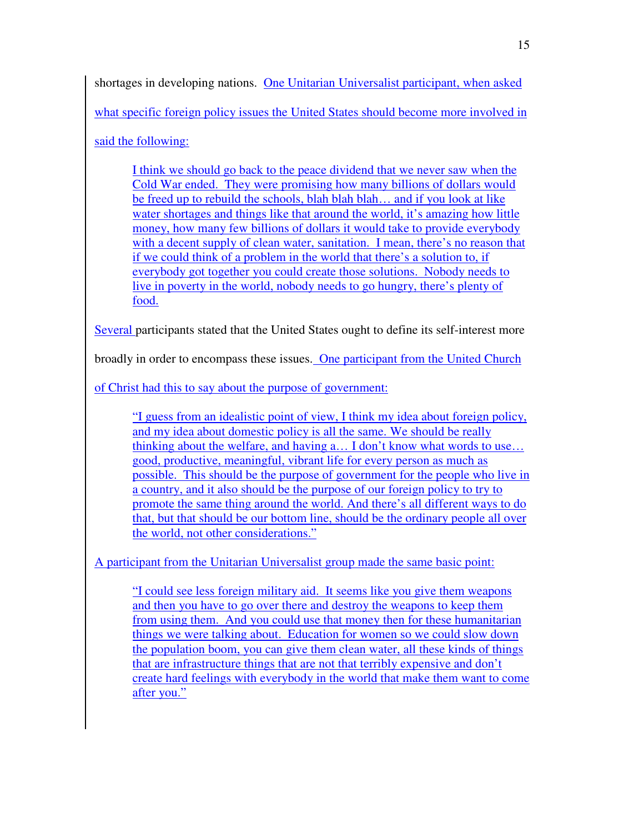shortages in developing nations. One Unitarian Universalist participant, when asked what specific foreign policy issues the United States should become more involved in said the following:

I think we should go back to the peace dividend that we never saw when the Cold War ended. They were promising how many billions of dollars would be freed up to rebuild the schools, blah blah blah… and if you look at like water shortages and things like that around the world, it's amazing how little money, how many few billions of dollars it would take to provide everybody with a decent supply of clean water, sanitation. I mean, there's no reason that if we could think of a problem in the world that there's a solution to, if everybody got together you could create those solutions. Nobody needs to live in poverty in the world, nobody needs to go hungry, there's plenty of food.

Several participants stated that the United States ought to define its self-interest more

broadly in order to encompass these issues. One participant from the United Church

of Christ had this to say about the purpose of government:

"I guess from an idealistic point of view, I think my idea about foreign policy, and my idea about domestic policy is all the same. We should be really thinking about the welfare, and having a… I don't know what words to use… good, productive, meaningful, vibrant life for every person as much as possible. This should be the purpose of government for the people who live in a country, and it also should be the purpose of our foreign policy to try to promote the same thing around the world. And there's all different ways to do that, but that should be our bottom line, should be the ordinary people all over the world, not other considerations."

A participant from the Unitarian Universalist group made the same basic point:

"I could see less foreign military aid. It seems like you give them weapons and then you have to go over there and destroy the weapons to keep them from using them. And you could use that money then for these humanitarian things we were talking about. Education for women so we could slow down the population boom, you can give them clean water, all these kinds of things that are infrastructure things that are not that terribly expensive and don't create hard feelings with everybody in the world that make them want to come after you."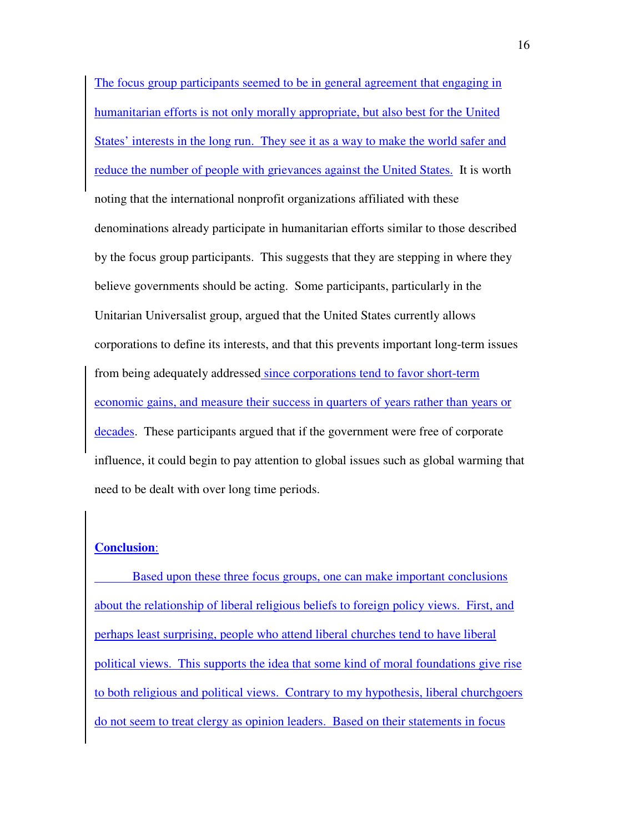The focus group participants seemed to be in general agreement that engaging in humanitarian efforts is not only morally appropriate, but also best for the United States' interests in the long run. They see it as a way to make the world safer and reduce the number of people with grievances against the United States. It is worth noting that the international nonprofit organizations affiliated with these denominations already participate in humanitarian efforts similar to those described by the focus group participants. This suggests that they are stepping in where they believe governments should be acting. Some participants, particularly in the Unitarian Universalist group, argued that the United States currently allows corporations to define its interests, and that this prevents important long-term issues from being adequately addressed since corporations tend to favor short-term economic gains, and measure their success in quarters of years rather than years or decades. These participants argued that if the government were free of corporate influence, it could begin to pay attention to global issues such as global warming that need to be dealt with over long time periods.

#### **Conclusion**:

 Based upon these three focus groups, one can make important conclusions about the relationship of liberal religious beliefs to foreign policy views. First, and perhaps least surprising, people who attend liberal churches tend to have liberal political views. This supports the idea that some kind of moral foundations give rise to both religious and political views. Contrary to my hypothesis, liberal churchgoers do not seem to treat clergy as opinion leaders. Based on their statements in focus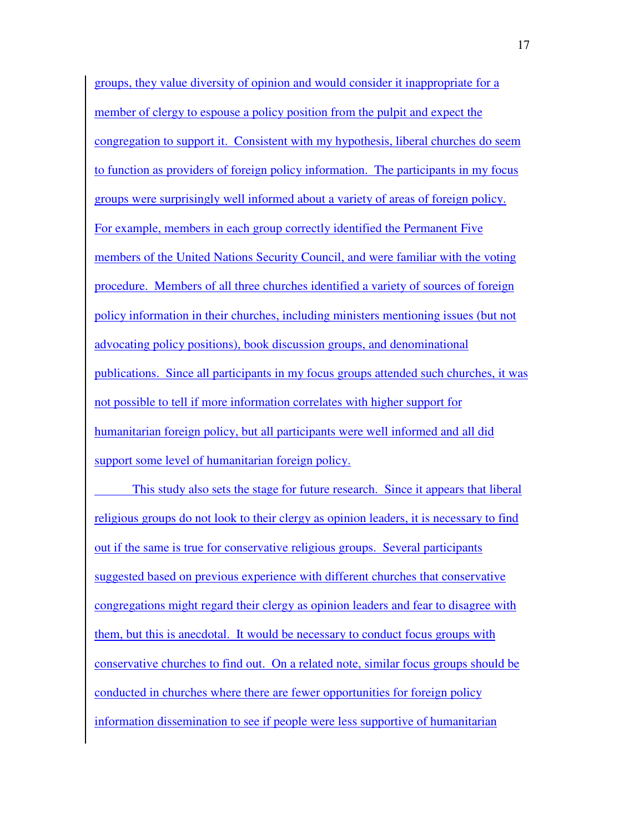groups, they value diversity of opinion and would consider it inappropriate for a member of clergy to espouse a policy position from the pulpit and expect the congregation to support it. Consistent with my hypothesis, liberal churches do seem to function as providers of foreign policy information. The participants in my focus groups were surprisingly well informed about a variety of areas of foreign policy. For example, members in each group correctly identified the Permanent Five members of the United Nations Security Council, and were familiar with the voting procedure. Members of all three churches identified a variety of sources of foreign policy information in their churches, including ministers mentioning issues (but not advocating policy positions), book discussion groups, and denominational publications. Since all participants in my focus groups attended such churches, it was not possible to tell if more information correlates with higher support for humanitarian foreign policy, but all participants were well informed and all did support some level of humanitarian foreign policy.

 This study also sets the stage for future research. Since it appears that liberal religious groups do not look to their clergy as opinion leaders, it is necessary to find out if the same is true for conservative religious groups. Several participants suggested based on previous experience with different churches that conservative congregations might regard their clergy as opinion leaders and fear to disagree with them, but this is anecdotal. It would be necessary to conduct focus groups with conservative churches to find out. On a related note, similar focus groups should be conducted in churches where there are fewer opportunities for foreign policy information dissemination to see if people were less supportive of humanitarian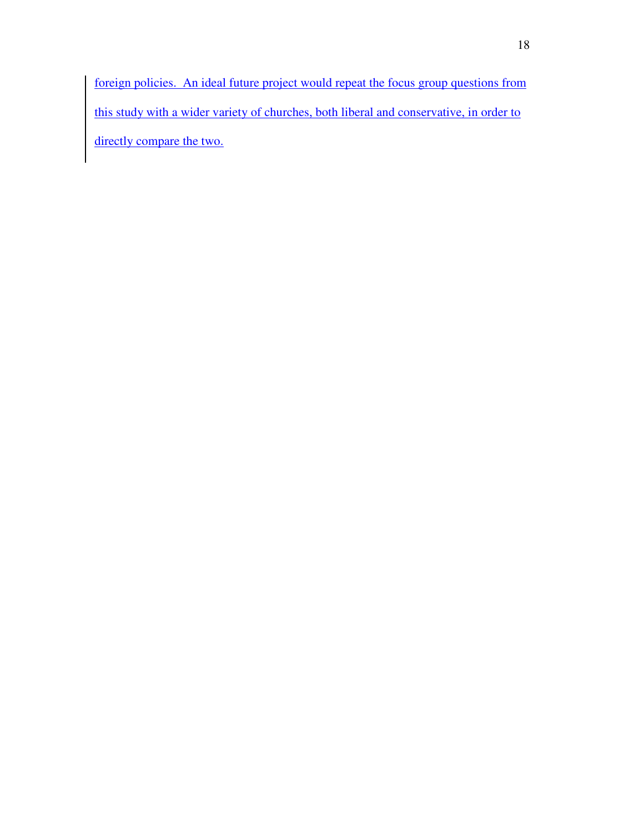foreign policies. An ideal future project would repeat the focus group questions from this study with a wider variety of churches, both liberal and conservative, in order to directly compare the two.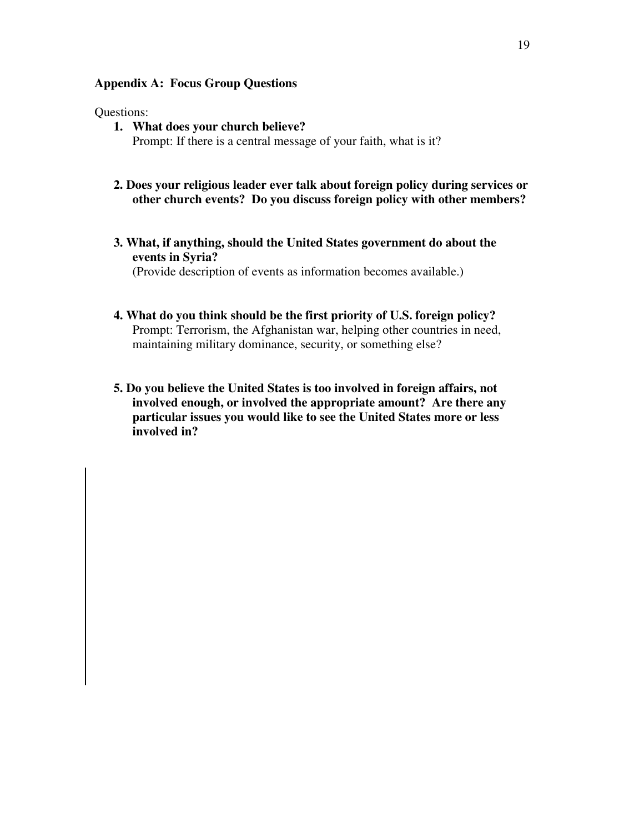#### **Appendix A: Focus Group Questions**

#### Questions:

- **1. What does your church believe?**  Prompt: If there is a central message of your faith, what is it?
- **2. Does your religious leader ever talk about foreign policy during services or other church events? Do you discuss foreign policy with other members?**
- **3. What, if anything, should the United States government do about the events in Syria?**

(Provide description of events as information becomes available.)

- **4. What do you think should be the first priority of U.S. foreign policy?**  Prompt: Terrorism, the Afghanistan war, helping other countries in need, maintaining military dominance, security, or something else?
- **5. Do you believe the United States is too involved in foreign affairs, not involved enough, or involved the appropriate amount? Are there any particular issues you would like to see the United States more or less involved in?**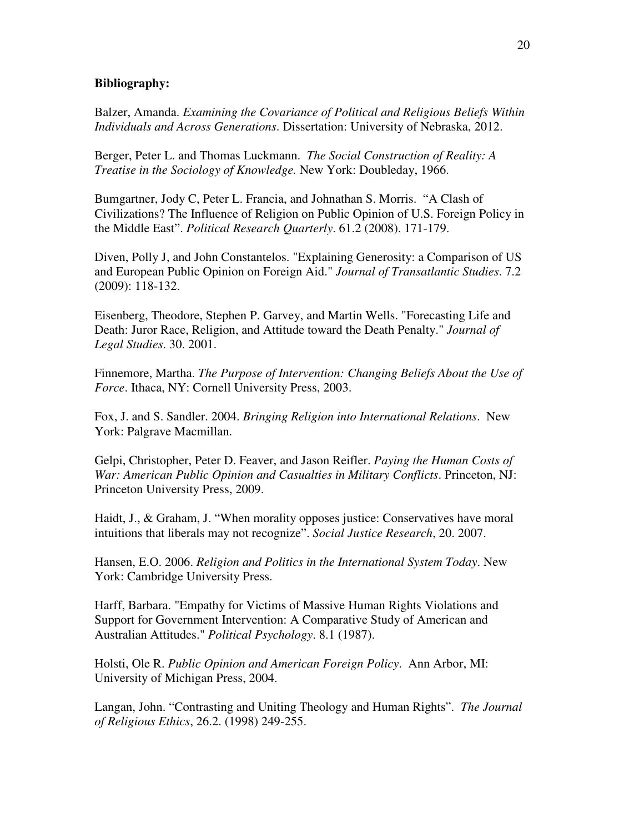#### **Bibliography:**

Balzer, Amanda. *Examining the Covariance of Political and Religious Beliefs Within Individuals and Across Generations*. Dissertation: University of Nebraska, 2012.

Berger, Peter L. and Thomas Luckmann. *The Social Construction of Reality: A Treatise in the Sociology of Knowledge.* New York: Doubleday, 1966.

Bumgartner, Jody C, Peter L. Francia, and Johnathan S. Morris. "A Clash of Civilizations? The Influence of Religion on Public Opinion of U.S. Foreign Policy in the Middle East". *Political Research Quarterly*. 61.2 (2008). 171-179.

Diven, Polly J, and John Constantelos. "Explaining Generosity: a Comparison of US and European Public Opinion on Foreign Aid." *Journal of Transatlantic Studies*. 7.2 (2009): 118-132.

Eisenberg, Theodore, Stephen P. Garvey, and Martin Wells. "Forecasting Life and Death: Juror Race, Religion, and Attitude toward the Death Penalty." *Journal of Legal Studies*. 30. 2001.

Finnemore, Martha. *The Purpose of Intervention: Changing Beliefs About the Use of Force*. Ithaca, NY: Cornell University Press, 2003.

Fox, J. and S. Sandler. 2004. *Bringing Religion into International Relations*. New York: Palgrave Macmillan.

Gelpi, Christopher, Peter D. Feaver, and Jason Reifler. *Paying the Human Costs of War: American Public Opinion and Casualties in Military Conflicts*. Princeton, NJ: Princeton University Press, 2009.

Haidt, J., & Graham, J. "When morality opposes justice: Conservatives have moral intuitions that liberals may not recognize". *Social Justice Research*, 20. 2007.

Hansen, E.O. 2006. *Religion and Politics in the International System Today*. New York: Cambridge University Press.

Harff, Barbara. "Empathy for Victims of Massive Human Rights Violations and Support for Government Intervention: A Comparative Study of American and Australian Attitudes." *Political Psychology*. 8.1 (1987).

Holsti, Ole R. *Public Opinion and American Foreign Policy*. Ann Arbor, MI: University of Michigan Press, 2004.

Langan, John. "Contrasting and Uniting Theology and Human Rights". *The Journal of Religious Ethics*, 26.2. (1998) 249-255.